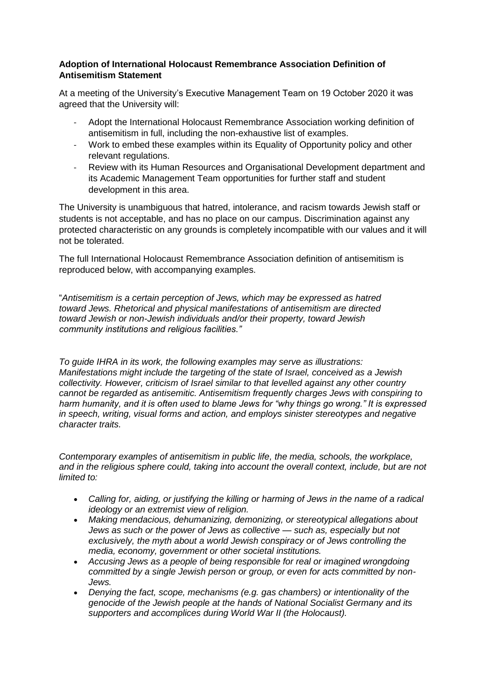## **Adoption of International Holocaust Remembrance Association Definition of Antisemitism Statement**

At a meeting of the University's Executive Management Team on 19 October 2020 it was agreed that the University will:

- Adopt the International Holocaust Remembrance Association working definition of antisemitism in full, including the non-exhaustive list of examples.
- Work to embed these examples within its Equality of Opportunity policy and other relevant regulations.
- Review with its Human Resources and Organisational Development department and its Academic Management Team opportunities for further staff and student development in this area.

The University is unambiguous that hatred, intolerance, and racism towards Jewish staff or students is not acceptable, and has no place on our campus. Discrimination against any protected characteristic on any grounds is completely incompatible with our values and it will not be tolerated.

The full International Holocaust Remembrance Association definition of antisemitism is reproduced below, with accompanying examples.

"*Antisemitism is a certain perception of Jews, which may be expressed as hatred toward Jews. Rhetorical and physical manifestations of antisemitism are directed toward Jewish or non-Jewish individuals and/or their property, toward Jewish community institutions and religious facilities."* 

*To guide IHRA in its work, the following examples may serve as illustrations: Manifestations might include the targeting of the state of Israel, conceived as a Jewish collectivity. However, criticism of Israel similar to that levelled against any other country cannot be regarded as antisemitic. Antisemitism frequently charges Jews with conspiring to harm humanity, and it is often used to blame Jews for "why things go wrong." It is expressed in speech, writing, visual forms and action, and employs sinister stereotypes and negative character traits.*

*Contemporary examples of antisemitism in public life, the media, schools, the workplace,*  and in the religious sphere could, taking into account the overall context, include, but are not *limited to:*

- *Calling for, aiding, or justifying the killing or harming of Jews in the name of a radical ideology or an extremist view of religion.*
- *Making mendacious, dehumanizing, demonizing, or stereotypical allegations about Jews as such or the power of Jews as collective — such as, especially but not exclusively, the myth about a world Jewish conspiracy or of Jews controlling the media, economy, government or other societal institutions.*
- *Accusing Jews as a people of being responsible for real or imagined wrongdoing committed by a single Jewish person or group, or even for acts committed by non-Jews.*
- *Denying the fact, scope, mechanisms (e.g. gas chambers) or intentionality of the genocide of the Jewish people at the hands of National Socialist Germany and its supporters and accomplices during World War II (the Holocaust).*